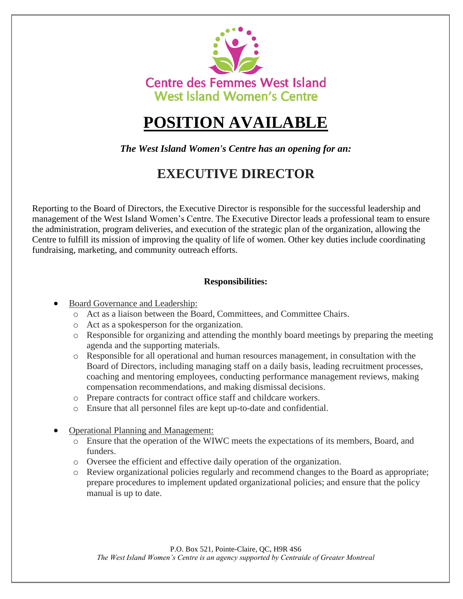

# **POSITION AVAILABLE**

*The West Island Women's Centre has an opening for an:*

# **EXECUTIVE DIRECTOR**

Reporting to the Board of Directors, the Executive Director is responsible for the successful leadership and management of the West Island Women's Centre. The Executive Director leads a professional team to ensure the administration, program deliveries, and execution of the strategic plan of the organization, allowing the Centre to fulfill its mission of improving the quality of life of women. Other key duties include coordinating fundraising, marketing, and community outreach efforts.

#### **Responsibilities:**

- Board Governance and Leadership:
	- o Act as a liaison between the Board, Committees, and Committee Chairs.
	- o Act as a spokesperson for the organization.
	- o Responsible for organizing and attending the monthly board meetings by preparing the meeting agenda and the supporting materials.
	- o Responsible for all operational and human resources management, in consultation with the Board of Directors, including managing staff on a daily basis, leading recruitment processes, coaching and mentoring employees, conducting performance management reviews, making compensation recommendations, and making dismissal decisions.
	- o Prepare contracts for contract office staff and childcare workers.
	- o Ensure that all personnel files are kept up-to-date and confidential.
- Operational Planning and Management:
	- o Ensure that the operation of the WIWC meets the expectations of its members, Board, and funders.
	- o Oversee the efficient and effective daily operation of the organization.
	- o Review organizational policies regularly and recommend changes to the Board as appropriate; prepare procedures to implement updated organizational policies; and ensure that the policy manual is up to date.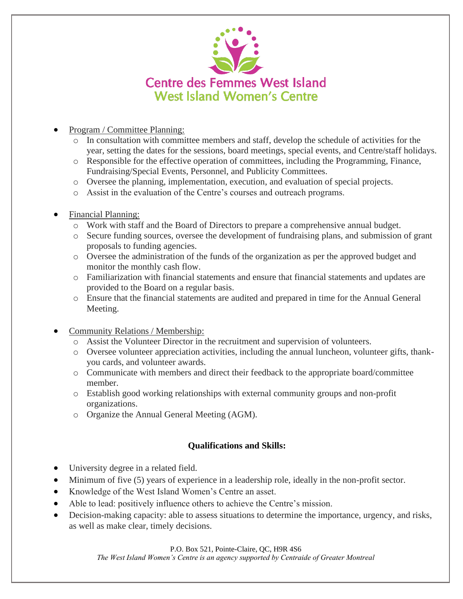

#### • Program / Committee Planning:

- $\circ$  In consultation with committee members and staff, develop the schedule of activities for the year, setting the dates for the sessions, board meetings, special events, and Centre/staff holidays.
- o Responsible for the effective operation of committees, including the Programming, Finance, Fundraising/Special Events, Personnel, and Publicity Committees.
- o Oversee the planning, implementation, execution, and evaluation of special projects.
- o Assist in the evaluation of the Centre's courses and outreach programs.
- Financial Planning:
	- o Work with staff and the Board of Directors to prepare a comprehensive annual budget.
	- o Secure funding sources, oversee the development of fundraising plans, and submission of grant proposals to funding agencies.
	- o Oversee the administration of the funds of the organization as per the approved budget and monitor the monthly cash flow.
	- o Familiarization with financial statements and ensure that financial statements and updates are provided to the Board on a regular basis.
	- o Ensure that the financial statements are audited and prepared in time for the Annual General Meeting.
- Community Relations / Membership:
	- Assist the Volunteer Director in the recruitment and supervision of volunteers.
	- o Oversee volunteer appreciation activities, including the annual luncheon, volunteer gifts, thankyou cards, and volunteer awards.
	- o Communicate with members and direct their feedback to the appropriate board/committee member.
	- o Establish good working relationships with external community groups and non-profit organizations.
	- o Organize the Annual General Meeting (AGM).

## **Qualifications and Skills:**

- University degree in a related field.
- Minimum of five (5) years of experience in a leadership role, ideally in the non-profit sector.
- Knowledge of the West Island Women's Centre an asset.
- Able to lead: positively influence others to achieve the Centre's mission.
- Decision-making capacity: able to assess situations to determine the importance, urgency, and risks, as well as make clear, timely decisions.

P.O. Box 521, Pointe-Claire, QC, H9R 4S6

*The West Island Women's Centre is an agency supported by Centraide of Greater Montreal*